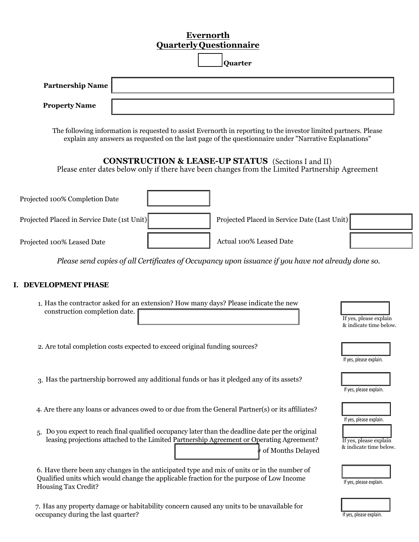## **Evernorth Quarterly Questionnaire**

|                                             | Qual tel ly Questionnail e<br>Quarter                                                                                                                                                                                     |                                                                             |
|---------------------------------------------|---------------------------------------------------------------------------------------------------------------------------------------------------------------------------------------------------------------------------|-----------------------------------------------------------------------------|
| <b>Partnership Name</b>                     |                                                                                                                                                                                                                           |                                                                             |
| <b>Property Name</b>                        |                                                                                                                                                                                                                           |                                                                             |
|                                             | The following information is requested to assist Evernorth in reporting to the investor limited partners. Please<br>explain any answers as requested on the last page of the questionnaire under "Narrative Explanations" |                                                                             |
|                                             | <b>CONSTRUCTION &amp; LEASE-UP STATUS</b> (Sections I and II)<br>Please enter dates below only if there have been changes from the Limited Partnership Agreement                                                          |                                                                             |
| Projected 100% Completion Date              |                                                                                                                                                                                                                           |                                                                             |
| Projected Placed in Service Date (1st Unit) | Projected Placed in Service Date (Last Unit)                                                                                                                                                                              |                                                                             |
| Projected 100% Leased Date                  | Actual 100% Leased Date                                                                                                                                                                                                   |                                                                             |
|                                             | Please send copies of all Certificates of Occupancy upon issuance if you have not already done so.                                                                                                                        |                                                                             |
| I. DEVELOPMENT PHASE                        |                                                                                                                                                                                                                           |                                                                             |
| construction completion date.               | 1. Has the contractor asked for an extension? How many days? Please indicate the new                                                                                                                                      | If yes, please explain<br>& indicate time below.                            |
|                                             | 2. Are total completion costs expected to exceed original funding sources?                                                                                                                                                | If yes, please explain.                                                     |
|                                             | 3. Has the partnership borrowed any additional funds or has it pledged any of its assets?                                                                                                                                 | If yes, please explain.                                                     |
|                                             | 4. Are there any loans or advances owed to or due from the General Partner(s) or its affiliates?                                                                                                                          |                                                                             |
| 5.                                          | Do you expect to reach final qualified occupancy later than the deadline date per the original<br>leasing projections attached to the Limited Partnership Agreement or Operating Agreement?<br>∤ of Months Delayed        | If yes, please explain.<br>If yes, please explain<br>& indicate time below. |
| Housing Tax Credit?                         | 6. Have there been any changes in the anticipated type and mix of units or in the number of<br>Qualified units which would change the applicable fraction for the purpose of Low Income                                   | If yes, please explain.                                                     |
| occupancy during the last quarter?          | 7. Has any property damage or habitability concern caused any units to be unavailable for                                                                                                                                 | If yes, please explain.                                                     |